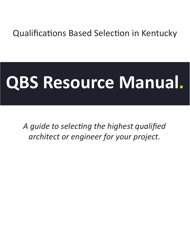# Qualifications Based Selection in Kentucky

# **QBS Resource Manual.**

*A guide to selecting the highest qualified architect or engineer for your project.*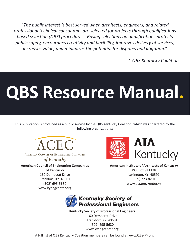*"The public interest is best served when architects, engineers, and related professional technical consultants are selected for projects through qualifications based selection (QBS) procedures. Basing selections on qualifications protects public safety, encourages creativity and flexibility, improves delivery of services, increases value, and minimizes the potential for disputes and litigation."*

*~ QBS Kentucky Coalition*

# **QBS Resource Manual.**

This publication is produced as a public service by the QBS Kentucky Coalition, which was chartered by the following organizations:



AMERICAN COUNCIL OF ENGINEERING COMPANIES

of Kentucky

**American Council of Engineering Companies of Kentucky** 160 Democrat Drive Frankfort, KY 40601 (502) 695-5680 www.kyengcenter.org



**American Institute of Architects of Kentucky** P.O. Box 911128 Lexington, KY 40591 (859) 223-8201 www.aia.org/kentucky



**Kentucky Society of Professional Engineers** 160 Democrat Drive Frankfort, KY 40601 (502) 695-5680 www.kyengcenter.org

A full list of QBS Kentucky Coalition members can be found at www.QBS-KY.org.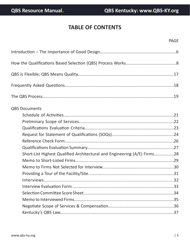# **TABLE OF CONTENTS**

| <b>QBS Documents</b>                                                     |  |
|--------------------------------------------------------------------------|--|
|                                                                          |  |
|                                                                          |  |
|                                                                          |  |
|                                                                          |  |
|                                                                          |  |
|                                                                          |  |
| Short-List Highest Qualified Architectural and Engineering (A/E) Firms28 |  |
|                                                                          |  |
|                                                                          |  |
|                                                                          |  |
|                                                                          |  |
|                                                                          |  |
|                                                                          |  |
|                                                                          |  |
|                                                                          |  |
|                                                                          |  |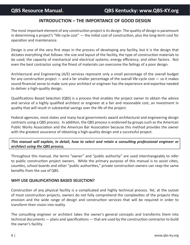# **INTRODUCTION – THE IMPORTANCE OF GOOD DESIGN**

The most important element of any construction project is its design. The quality of design is paramount in determining a project's "life-cycle cost" — the initial cost of construction, plus the long-term cost for operation and maintenance.

Design is one of the very first steps in the process of developing any facility, but it is the design that dictates everything that follows: the size and layout of the facility, the type of construction materials to be used; the capacity of mechanical and electrical systems; energy efficiency; and other factors. Not even the best contractor using the finest of materials can overcome the failings of a poor design.

Architectural and Engineering (A/E) services represent only a small percentage of the overall budget for any construction project  $-$  and a far smaller percentage of the overall life-cycle cost  $-$  so it makes sound financial sense to make sure your architect or engineer has the experience and expertise needed to deliver a high-quality design.

Qualifications Based Selection (QBS) is a process that enables the project owner to obtain the advice and service of a highly qualified architect or engineer at a fair and reasonable cost, an investment in quality that will result in substantial savings over the life of the project.

Federal agencies, most states and many local governments award architectural and engineering design contracts using a QBS process. In addition, the QBS process is endorsed by groups such as the American Public Works Association and the American Bar Association because this method provides the owner with the greatest assurance of obtaining a high-quality design and a successful project.

*This manual will explain, in detail, how to select and retain a consulting professional engineer or architect using the QBS process.*

Throughout this manual, the terms "owner" and "public authority" are used interchangeably to refer to public construction project owners. While the primary purpose of this manual is to assist cities, counties, school boards and other "public authorities," private construction owners can reap the same benefits from the use of QBS.

## **WHY USE QUALIFICATIONS BASED SELECTION?**

Construction of any physical facility is a complicated and highly technical process. Yet, at the outset of most construction projects, owners do not fully comprehend the complexities of the projects they envision and the wide range of design and construction services that will be required in order to transform their vision into reality.

The consulting engineer or architect takes the owner's general concepts and transforms them into technical documents — plans and specifications — that are used by the construction contractor to build the owner's facility.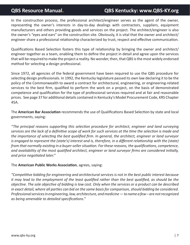In the construction process, the professional architect/engineer serves as the agent of the owner, representing the owner's interests in day-to-day dealings with contractors, suppliers, equipment manufacturers and others providing goods and services on the project. The architect/engineer is also the owner's "eyes and ears" on the construction site. Obviously, it is vital that the owner and architect/ engineer share a professional relationship characterized by trust, respect and effective communication.

Qualifications Based Selection fosters this type of relationship by bringing the owner and architect/ engineer together as a team, enabling them to define the project in detail and agree upon the services that will be required to make the project a reality. No wonder, then, that QBS is the most widely endorsed method for selecting a design professional.

Since 1972, all agencies of the federal government have been required to use the QBS procedure for selecting design professionals. In 1992, the Kentucky legislature passed its own law declaring it to be the policy of the Commonwealth to award a contract for architectural, engineering, or engineering-related services to the best firm, qualified to perform the work on a project, on the basis of demonstrated competence and qualification for the type of professional services required and at fair and reasonable prices. See page 37 for additional details contained in Kentucky's Model Procurement Code, KRS Chapter 45A.

The **American Bar Association** recommends the use of Qualifications Based Selection by state and local governments, saying:

*"The principal reasons supporting this selection procedure for architect, engineer and land surveying services are the lack of a definitive scope of work for such services at the time the selection is made and the importance of selecting the best qualified firm. In general, the architect, engineer or land surveyor is engaged to represent the (state's) interest and is, therefore, in a different relationship with the (state) from that normally existing in a buyer-seller situation. For these reasons, the qualifications, competence, and availability of the most qualified architect, engineer or land surveyor firms are considered initially, and price negotiated later."*

The **American Public Works Association**, agrees, saying:

*"Competitive bidding for engineering and architectural services is not in the best public interest because it may lead to the employment of the least qualified rather than the best qualified, as should be the objective. The sole objective of bidding is low cost. Only when the services or a product can be described in exact detail, where all parties can bid on the same basis for comparison, should bidding be considered. Professional services in engineering, law, architecture, and medicine — to name a few – are not recognized as being amenable to detailed specifications."*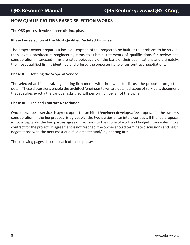# **HOW QUALIFICATIONS BASED SELECTION WORKS**

The QBS process involves three distinct phases:

#### **Phase I — Selection of the Most Qualified Architect/Engineer**

The project owner prepares a basic description of the project to be built or the problem to be solved, then invites architectural/engineering firms to submit statements of qualifications for review and consideration. Interested firms are rated objectively on the basis of their qualifications and ultimately, the most qualified firm is identified and offered the opportunity to enter contract negotiations.

#### **Phase II — Defining the Scope of Service**

The selected architectural/engineering firm meets with the owner to discuss the proposed project in detail. These discussions enable the architect/engineer to write a detailed scope of service, a document that specifies exactly the various tasks they will perform on behalf of the owner.

#### **Phase III — Fee and Contract Negotiation**

Once the scope of services is agreed upon, the architect/engineer develops a fee proposal for the owner's consideration. If the fee proposal is agreeable, the two parties enter into a contract. If the fee proposal is not acceptable, the two parties agree on revisions to the scope of work and budget, then enter into a contract for the project. If agreement is not reached, the owner should terminate discussions and begin negotiations with the next most qualified architectural/engineering firm.

The following pages describe each of these phases in detail.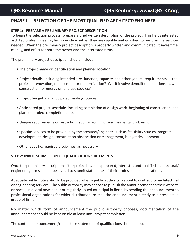# **PHASE I — SELECTION OF THE MOST QUALIFIED ARCHITECT/ENGINEER**

## **STEP 1: PREPARE A PRELIMINARY PROJECT DESCRIPTION**

To begin the selection process, prepare a brief written description of the project. This helps interested architectural/engineering firms decide whether they are capable and qualified to perform the services needed. When the preliminary project description is properly written and communicated, it saves time, money, and effort for both the owner and the interested firms.

The preliminary project description should include:

- The project name or identification and planned location.
- Project details, including intended size, function, capacity, and other general requirements. Is the project a renovation, replacement or modernization? Will it involve demolition, additions, new construction, or energy or land use studies?
- Project budget and anticipated funding sources.
- Anticipated project schedule, including completion of design work, beginning of construction, and planned project completion date.
- Unique requirements or restrictions such as zoning or environmental problems.
- Specific services to be provided by the architect/engineer, such as feasibility studies, program development, design, construction observation or management, budget development.
- Other specific/required disciplines, as necessary.

## **STEP 2: INVITE SUBMISSION OF QUALIFICATION STATEMENTS**

Once the preliminary description of the project has been prepared, interested and qualified architectural/ engineering firms should be invited to submit statements of their professional qualifications.

Adequate public notice should be provided when a public authority is about to contract for architectural or engineering services. The public authority may choose to publish the announcement on their website or portal, in a local newspaper or regularly issued municipal bulletin, by sending the announcement to professional organizations for wider distribution, or mail the announcement directly to a preselected group of firms.

No matter which form of announcement the public authority chooses, documentation of the announcement should be kept on file at least until project completion.

The contract announcement/request for statement of qualifications should include: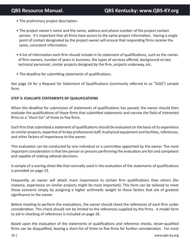- The preliminary project description.
- The project owner's name and the name, address and phone number of the project contact person. It's important that all firms have access to the same project information. Having a single point of contact designated by the project owner will ensure that responding firms receive the same, consistent information.
- A list of information each firm should include in its statement of qualifications, such as the names of firm owners, number of years in business, the types of services offered, background on key technical personnel, similar projects designed by the firm, projects underway, etc.
- The deadline for submitting statements of qualifications.

See page 24 for a Request for Statement of Qualifications (commonly referred to as "SOQ") sample form.

## **STEP 3: EVALUATE STATEMENTS OF QUALIFICATIONS**

When the deadline for submission of statements of qualifications has passed, the owner should then evaluate the qualifications of those firms that submitted statements and narrow the field of interested firms to a "short list" of three to five firms.

Each firm that submitted a statement of qualifications should be evaluated on the basis of its experience on similar projects, expertise of its key professional staff, its physical equipment and facilities, references, and other factors of importance to the owner.

This evaluation can be conducted by one individual or a committee appointed by the owner. The most important consideration is that the person or persons performing the evaluation are fair and competent and capable of making rational decisions.

A sample of a scoring sheet like that normally used in the evaluation of the statements of qualifications is provided on page 23.

Frequently, an owner will attach more importance to certain firm qualifications than others (for instance, experience on similar projects might be most important). This form can be tailored to meet those concerns simply by assigning a higher arithmetic weight to those factors that are of greatest significance to the owner.

Before meeting to perform the evaluations, the owner should check the references of each firm under consideration. This check should not be limited to the references supplied by the firms. A model form to aid in checking of references is included on page 26.

Based upon the evaluation of the statements of qualifications and reference checks, lesser-qualified firms can be disqualified, leaving a short-list of three to five firms for further consideration. For most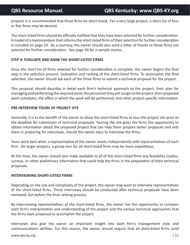projects it is recommended that three firms be short-listed. For a very large project, a short list of four or five firms may be desired.

The short-listed firms should be officially notified that they have been selected for further consideration. A model of a memorandum that informs the short-listed firms of their selection for further consideration is included on page 29. As a courtesy, the owner should also send a letter of thanks to those firms not selected for further consideration. See page 30 for a sample memo.

### **STEP 4: EVALUATE AND RANK THE SHORT-LISTED FIRMS**

Once the short-list of firms selected for further consideration is complete, the owner begins the final step in the selection process: evaluation and ranking of the short-listed firms. To accomplish the final selection, the owner should ask each of the three firms to submit a technical proposal for the project.

This proposal should describe in detail each firm's technical approach to the project; their plan for managing and performing the required work; the personnel they will assign to the project; their proposed work schedules; the office in which the work will be performed; and other project-specific information.

### **PRE-INTERVIEW TOURS OF PROJECT SITE**

Generally, it is to the benefit of the owner to allow the short-listed firms to tour the project site prior to the deadline for submission of technical proposals. Touring the site gives the firms the opportunity to obtain information about the proposed project that can help them prepare better proposals and aids them in preparing for interviews, should the owner elect to interview the firms.

Tours work best when a representative of the owner meets independently with representatives of each firm. On larger projects, a group tour for all short-listed firms may be more expeditious.

At this time, the owner should also make available to all of the short-listed firms any feasibility studies, surveys, or other preliminary information that could help the firms in the preparation of their technical proposals.

#### **INTERVIEWING SHORT-LISTED FIRMS**

Depending on the size and complexity of the project, the owner may want to interview representatives of the short-listed firms. These interviews should be conducted after technical proposals have been reviewed, but before the final ranking process.

By interviewing representatives of the short-listed firms, the owner has the opportunity to compare each firm's interpretation and understanding of the project and the various technical approaches that the firms have proposed to accomplish the project.

Interviews also give the owner an important insight into each firm's management style and communications abilities. For this reason, the owner should require that all short-listed firms send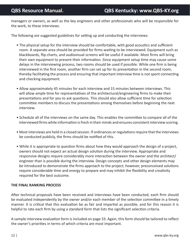managers or owners, as well as the key engineers and other professionals who will be responsible for the work, to these interviews.

The following are suggested guidelines for setting up and conducting the interviews:

- The physical setup for the interview should be comfortable, with good acoustics and sufficient room. A separate area should be provided for firms waiting to be interviewed. Equipment such as blackboards, flip charts, and audiovisual screens will be useful if available. Most firms will bring their own equipment to present their information. Since equipment setup time may cause some delays in the interviewing process, two rooms should be used if possible. While one firm is being interviewed in the first room, another firm can set up for its presentation in the second room, thereby facilitating the process and ensuring that important interview time is not spent connecting and checking equipment.
- Allow approximately 45 minutes for each interview and 15 minutes between interviews. This will allow ample time for representatives of the architectural/engineering firms to make their presentations and for you to ask questions. This should also allow sufficient time for selection committee members to discuss the presentations among themselves before beginning the next interview.
- Schedule all of the interviews on the same day. This enables the committee to compare all of the interviewed firms while information is fresh in their minds and ensures consistent interview scoring.
- Most interviews are held in a closed session. If ordinances or regulations require that the interviews be conducted publicly, the firms should be notified of this.
- While it is appropriate to question firms about how they would approach the design of a project, owners should not expect an actual design solution during the interview. Appropriate and responsive designs require considerably more interaction between the owner and the architect/ engineer than is possible during the interview. Design concepts and other design elements may be introduced to demonstrate the firms approach to the project; however, preconceived solutions require considerable time and energy to prepare and may inhibit the flexibility and creativity required for the best outcome.

## **THE FINAL RANKING PROCESS**

After technical proposals have been received and interviews have been conducted, each firm should be evaluated independently by the owner and/or each member of the selection committee in a timely manner. It is critical that this evaluation be as fair and impartial as possible, and for this reason it is helpful to rate each firm by using a standard form that lists the significant selection criteria.

A sample interview evaluation form is included on page 33. Again, this form should be tailored to reflect the owner's priorities in terms of which criteria are most important.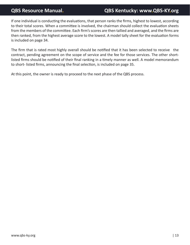If one individual is conducting the evaluations, that person ranks the firms, highest to lowest, according to their total scores. When a committee is involved, the chairman should collect the evaluation sheets from the members of the committee. Each firm's scores are then tallied and averaged, and the firms are then ranked, from the highest average score to the lowest. A model tally sheet for the evaluation forms is included on page 34.

The firm that is rated most highly overall should be notified that it has been selected to receive the contract, pending agreement on the scope of service and the fee for those services. The other shortlisted firms should be notified of their final ranking in a timely manner as well. A model memorandum to short- listed firms, announcing the final selection, is included on page 35.

At this point, the owner is ready to proceed to the next phase of the QBS process.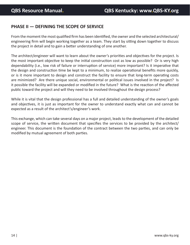# **PHASE II — DEFINING THE SCOPE OF SERVICE**

From the moment the most qualified firm has been identified, the owner and the selected architectural/ engineering firm will begin working together as a team. They start by sitting down together to discuss the project in detail and to gain a better understanding of one another.

The architect/engineer will want to learn about the owner's priorities and objectives for the project. Is the most important objective to keep the initial construction cost as low as possible? Or is very high dependability (i.e., low risk of failure or interruption of service) more important? Is it imperative that the design and construction time be kept to a minimum, to realize operational benefits more quickly, or is it more important to design and construct the facility to ensure that long-term operating costs are minimized? Are there unique social, environmental or political issues involved in the project? Is it possible the facility will be expanded or modified in the future? What is the reaction of the affected public toward the project and will they need to be involved throughout the design process?

While it is vital that the design professional has a full and detailed understanding of the owner's goals and objectives, it is just as important for the owner to understand exactly what can and cannot be expected as a result of the architect's/engineer's work.

This exchange, which can take several days on a major project, leads to the development of the detailed scope of service, the written document that specifies the services to be provided by the architect/ engineer. This document is the foundation of the contract between the two parties, and can only be modified by mutual agreement of both parties.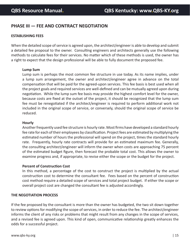# **PHASE III — FEE AND CONTRACT NEGOTIATION**

#### **ESTABLISHING FEES**

When the detailed scope of service is agreed upon, the architect/engineer is able to develop and submit a detailed fee proposal to the owner. Consulting engineers and architects generally use the following methods to calculate fees for their services. No matter which of these methods is used, the owner has a right to expect that the design professional will be able to fully document the proposed fee.

#### **Lump Sum**

Lump sum is perhaps the most common fee structure in use today. As its name implies, under a lump sum arrangement, the owner and architect/engineer agree in advance on the total compensation that will be paid for the agreed-upon services. This fee basis is best used when all the project goals and required services are well-defined and can be mutually agreed upon during negotiation. While the lump sum fee basis may provide the highest comfort level for the owner, because costs are fixed at the outset of the project, it should be recognized that the lump sum fee must be renegotiated if the architect/engineer is required to perform additional work not included in the original scope of service, or conversely, should the original scope of service be reduced.

#### **Hourly**

Another frequently used fee structure is hourly rate. Most firms have developed a standard hourly fee rate for each of their employees by classification. Project fees are estimated by multiplying the estimated number of hours the professional will spend on the project, times the standard hourly rate. Frequently, hourly rate contracts will provide for an estimated maximum fee. Generally, the consulting architect/engineer will inform the owner when costs are approaching 75 percent of the estimated budget figure, then forecast the probable total cost. This allows the owner to examine progress and, if appropriate, to revise either the scope or the budget for the project.

#### **Percent of Construction Cost**

In this method, a percentage of the cost to construct the project is multiplied by the actual construction cost to determine the consultant fee. Fees based on the percent of construction cost method require a detailed scope of services and total project budget. If either the scope or overall project cost are changed the consultant fee is adjusted accordingly.

#### **THE NEGOTIATION PROCESS**

If the fee proposed by the consultant is more than the owner has budgeted, the two sit down together to review options for modifying the scope of services, in order to reduce the fee. The architect/engineer informs the client of any risks or problems that might result from any changes in the scope of services, and a revised fee is agreed upon. This kind of open, communicative relationship greatly enhances the odds for a successful project.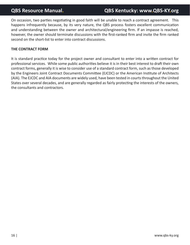On occasion, two parties negotiating in good faith will be unable to reach a contract agreement. This happens infrequently because, by its very nature, the QBS process fosters excellent communication and understanding between the owner and architectural/engineering firm. If an impasse is reached, however, the owner should terminate discussions with the first-ranked firm and invite the firm ranked second on the short-list to enter into contract discussions.

#### **THE CONTRACT FORM**

It is standard practice today for the project owner and consultant to enter into a written contract for professional services. While some public authorities believe it is in their best interest to draft their own contract forms, generally it is wise to consider use of a standard contract form, such as those developed by the Engineers Joint Contract Documents Committee (EJCDC) or the American Institute of Architects (AIA). The EJCDC and AIA documents are widely used, have been tested in courts throughout the United States over several decades, and are generally regarded as fairly protecting the interests of the owners, the consultants and contractors.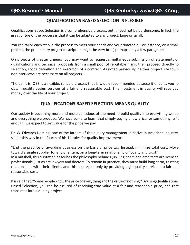# **QUALIFICATIONS BASED SELECTION IS FLEXIBLE**

Qualifications Based Selection is a comprehensive process, but it need not be burdensome. In fact, the great virtue of the process is that it can be adapted to any project, large or small.

You can tailor each step in the process to meet your needs and your timetable. For instance, on a small project, the preliminary project description might be very brief, perhaps only a few paragraphs.

On projects of greater urgency, you may want to request simultaneous submission of statements of qualifications and technical proposals from a small pool of reputable firms, then proceed directly to selection, scope definition and execution of a contract. As noted previously, neither project site tours nor interviews are necessary on all projects.

The point is, QBS is a flexible, reliable process that is widely recommended because it enables you to obtain quality design services at a fair and reasonable cost. This investment in quality will save you money over the life of your project.

# **QUALIFICATIONS BASED SELECTION MEANS QUALITY**

Our society is becoming more and more conscious of the need to build quality into everything we do and everything we produce. We have come to learn that simply paying a low price for something isn't enough; we expect to get value for the price we pay.

Dr. W. Edwards Deming, one of the fathers of the quality management initiative in American industry, said it this way in the fourth of his 14 rules for quality improvement:

"End the practice of awarding business on the basis of price tag. Instead, minimize total cost. Move toward a single supplier for any one item, on a long-term relationship of loyalty and trust." In a nutshell, this quotation describes the philosophy behind QBS. Engineers and architects are licensed professionals, just as are lawyers and doctors. To remain in practice, they must build long-term, trusting relationships with their clients, and this is possible only by providing high-quality service at a fair and reasonable cost.

It is said that, "Some people know the price of everything and the value of nothing." By using Qualifications Based Selection, you can be assured of receiving true value at a fair and reasonable price, and that translates into a quality project.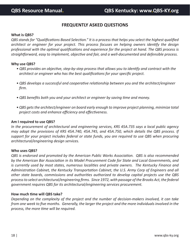# **FREQUENTLY ASKED QUESTIONS**

#### **What is QBS?**

*QBS stands for "Qualifications Based Selection." It is a process that helps you select the highest qualified architect or engineer for your project. This process focuses on helping owners identify the design professional with the optimal qualifications and experience for the project at hand. The QBS process is straightforward, easy to implement, objective and fair, and a well-documented and defensible process.*

#### **Why use QBS?**

- *QBS provides an objective, step-by-step process that allows you to identify and contract with the architect or engineer who has the best qualifications for your specific project.*
- *QBS develops a successful and cooperative relationship between you and the architect/engineer firm.*
- *QBS benefits both you and your architect or engineer by saving time and money.*
- *QBS gets the architect/engineer on board early enough to improve project planning, minimize total project costs and enhance efficiency and effectiveness.*

#### **Am I required to use QBS?**

*In the procurement of architectural and engineering services, KRS 45A.735 says a local public agency may adopt the provisions of KRS 45A.740, 45A.745, and 45A.750, which details the QBS process. If support for your project includes federal or state funds, you are required to use QBS when procuring architectural/engineering design services.*

#### **Who uses QBS?**

*QBS is endorsed and promoted by the American Public Works Association. QBS is also recommended by the American Bar Association in its Model Procurement Code for State and Local Governments, and is currently used by most states, numerous localities and private owners. The Kentucky Finance and Administration Cabinet, the Kentucky Transportation Cabinet, the U.S. Army Corp of Engineers and all other state boards, commissions and authorities authorized to develop capital projects use the QBS process to select architectural/engineering firms. Since 1972, with passage of the Brooks Act, the federal government requires QBS for its architectural/engineering services procurement.*

#### **How much time will QBS take?**

*Depending on the complexity of the project and the number of decision-makers involved, it can take from one week to five months. Generally, the larger the project and the more individuals involved in the process, the more time will be required.*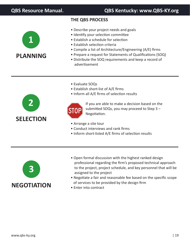# **THE QBS PROCESS**

- **1 PLANNING**
- Describe your project needs and goals
- Identify your selection committee
- Establish a schedule for selection
- Establish selection criteria
- Compile a list of Architecture/Engineering (A/E) firms
- Prepare a request for Statements of Qualifications (SOQ)
- Distribute the SOQ requirements and keep a record of advertisement
- Evaluate SOQs
- Establish short-list of A/E firms
- Inform all A/E firms of selection results





If you are able to make a decision based on the submitted SOQs, you may proceed to Step 3 – Negotiation.

- Arrange a site tour
- Conduct interviews and rank firms
- Inform short-listed A/E firms of selection results



- Open formal discussion with the highest ranked design professional regarding the firm's proposed technical approach to the project, project schedule, and key personnel that will be assigned to the project
- Negotiate a fair and reasonable fee based on the specific scope of services to be provided by the design firm
- Enter into contract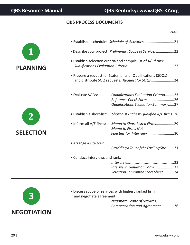# **QBS PROCESS DOCUMENTS**

|                  |                                                               | <b>PAGE</b>                                                                                                    |  |  |
|------------------|---------------------------------------------------------------|----------------------------------------------------------------------------------------------------------------|--|--|
|                  |                                                               | • Establish a schedule: Schedule of Activities21                                                               |  |  |
|                  |                                                               | • Describe your project: Preliminary Scope of Services22                                                       |  |  |
| <b>PLANNING</b>  | • Establish selection criteria and compile list of A/E firms: |                                                                                                                |  |  |
|                  |                                                               | • Prepare a request for Statements of Qualifications (SOQs)<br>and distribute SOQ requests: Request for SOQs24 |  |  |
|                  | • Evaluate SOQs:                                              | Qualifications Evaluation Criteria23<br>Reference Check Form26<br>Qualifications Evaluation Summary27          |  |  |
|                  | • Establish a short-list:                                     | Short-List Highest Qualified A/E firms28                                                                       |  |  |
| <b>SELECTION</b> | • Inform all A/E firms:                                       | Memo to Short-Listed Firms29<br><b>Memo to Firms Not</b><br>Selected for Interview30                           |  |  |
|                  | • Arrange a site tour:                                        | Providing a Tour of the Facility/Site31                                                                        |  |  |
|                  | • Conduct interviews and rank:                                |                                                                                                                |  |  |
|                  |                                                               | Interview Evaluation Form33<br>Selection Committee Score Sheet34                                               |  |  |



• Discuss scope of services with highest ranked firm and negotiate agreement:

*Negotiate Scope of Services, Compensation and Agreement.........*....36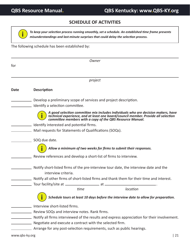# **SCHEDULE OF ACTIVITIES**



*To keep your selection process running smoothly, set a schedule. An established time frame prevents misunderstandings and last-minute surprises that could delay the selection process.*

The following schedule has been established by:

|                                  |                                                                       | Owner                                                             |                                                                                                                                                                                                                                      |
|----------------------------------|-----------------------------------------------------------------------|-------------------------------------------------------------------|--------------------------------------------------------------------------------------------------------------------------------------------------------------------------------------------------------------------------------------|
| for                              |                                                                       |                                                                   |                                                                                                                                                                                                                                      |
|                                  |                                                                       | project                                                           |                                                                                                                                                                                                                                      |
| <b>Date</b>                      | <b>Description</b>                                                    |                                                                   |                                                                                                                                                                                                                                      |
| <u> 1980 - Johann Barnett, f</u> |                                                                       | Develop a preliminary scope of services and project description.  |                                                                                                                                                                                                                                      |
|                                  | Identify a selection committee.                                       |                                                                   |                                                                                                                                                                                                                                      |
|                                  |                                                                       |                                                                   | A good selection committee mix includes individuals who are decision makers, have<br>technical experience, and at least one board/council member. Provide all selection<br>committee members with a copy of the QBS Resource Manual. |
|                                  | Identify interested and potential firms.                              |                                                                   |                                                                                                                                                                                                                                      |
|                                  |                                                                       | Mail requests for Statements of Qualifications (SOQs).            |                                                                                                                                                                                                                                      |
|                                  | SOQ due date.                                                         |                                                                   |                                                                                                                                                                                                                                      |
|                                  |                                                                       |                                                                   | Allow a minimum of two weeks for firms to submit their responses.                                                                                                                                                                    |
|                                  |                                                                       | Review references and develop a short-list of firms to interview. |                                                                                                                                                                                                                                      |
|                                  | interview criteria.                                                   |                                                                   | Notify short-listed firms of the pre-interview tour date, the interview date and the                                                                                                                                                 |
|                                  |                                                                       |                                                                   | Notify all other firms of short-listed firms and thank them for their time and interest.                                                                                                                                             |
|                                  |                                                                       |                                                                   |                                                                                                                                                                                                                                      |
|                                  |                                                                       | time                                                              | location                                                                                                                                                                                                                             |
|                                  |                                                                       |                                                                   | Schedule tours at least 10 days before the interview date to allow for preparation.                                                                                                                                                  |
|                                  | Interview short-listed firms.                                         |                                                                   |                                                                                                                                                                                                                                      |
|                                  | Review SOQs and interview notes. Rank firms.                          |                                                                   |                                                                                                                                                                                                                                      |
|                                  |                                                                       |                                                                   | Notify all firms interviewed of the results and express appreciation for their involvement.                                                                                                                                          |
|                                  | Negotiate and execute a contract with the selected firm.              |                                                                   |                                                                                                                                                                                                                                      |
|                                  | Arrange for any post-selection requirements, such as public hearings. |                                                                   |                                                                                                                                                                                                                                      |
| www.qbs-ky.org                   |                                                                       |                                                                   | 21                                                                                                                                                                                                                                   |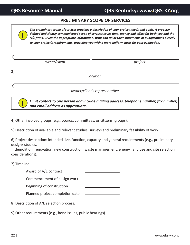**i**

**i**

# **QBS Resource Manual. QBS Kentucky: www.QBS-KY.org**

## **PRELIMINARY SCOPE OF SERVICES**

*The preliminary scope of services provides a description of your project needs and goals. A properly defined and clearly communicated scope of services saves time, money and effort for both you and the A/E firms. Given the appropriate information, firms can tailor their statements of qualifications directly to your project's requirements, providing you with a more uniform basis for your evaluation.*

| 1)             |              |                               |
|----------------|--------------|-------------------------------|
|                | owner/client | project                       |
|                |              |                               |
| 2 <sub>1</sub> |              | location                      |
| 3)             |              |                               |
|                |              | owner/client's representative |

*Limit contact to one person and include mailing address, telephone number, fax number, and email address as appropriate.*

4) Other involved groups (e.g., boards, committees, or citizens' groups).

5) Description of available and relevant studies, surveys and preliminary feasibility of work.

6) Project description: intended size, function, capacity and general requirements (e.g., preliminary design/ studies,

 demolition, renovation, new construction, waste management, energy, land use and site selection considerations).

7) Timeline:

Award of A/E contract

Commencement of design work

Beginning of construction

Planned project completion date

8) Description of A/E selection process.

9) Other requirements (e.g., bond issues, public hearings).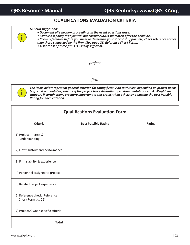# Q**UALIFICATIONS EVALUATION CRITERIA**

#### *General suggestions:*

- *Document all selection proceedings in the event questions arise.*
- *Establish a policy that you will not consider SOQs submitted after the deadline.*
- *Check references before you meet to determine your short-list. If possible, check references other than those suggested by the firm. (See page 26, Reference Check Form.)*
	- *A short-list of three firms is usually sufficient.*

#### *project*

*firm*



**i**

*The items below represent general criterion for rating firms. Add to this list, depending on project needs (e.g. environmental experience if the project has extraordinary environmental concerns). Weight each category if certain items are more important to the project than others by adjusting the Best Possible Rating for each criterion.*

# **Qualifications Evaluation Form**

| <b>Criteria</b>                                     | <b>Best Possible Rating</b> | Rating |
|-----------------------------------------------------|-----------------------------|--------|
| 1) Project interest &<br>understanding              |                             |        |
| 2) Firm's history and performance                   |                             |        |
| 3) Firm's ability & experience                      |                             |        |
| 4) Personnel assigned to project                    |                             |        |
| 5) Related project experience                       |                             |        |
| 6) Reference check (Reference<br>Check Form pg. 26) |                             |        |
| 7) Project/Owner specific criteria                  |                             |        |
| <b>Total</b>                                        |                             |        |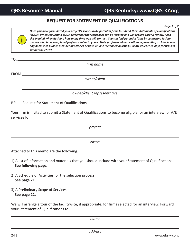*Page 1 of 2*

 $TO:$   $-$ 

**i**

**REQUEST FOR STATEMENT OF QUALIFICATIONS** *Once you have formulated your project's scope, invite potential firms to submit their Statements of Qualifications* 

*(SOQs). When requesting SOQs, remember that responses can be lengthy and will require careful review. Keep this in mind when deciding how many firms you will contact. You can find potential firms by contacting facility owners who have completed projects similar to yours. State professional associations representing architects and engineers also publish member directories or have on-line membership listings. Allow at least 14 days for firms to submit their SOQ.*

FROM: *owner/client*

*firm name*

**QBS Resource Manual. QBS Kentucky: www.QBS-KY.org**

*owner/client representative*

RE: Request for Statement of Qualifications

Your firm is invited to submit a Statement of Qualifications to become eligible for an interview for A/E services for

*project*

*owner*

Attached to this memo are the following:

- 1) A list of information and materials that you should include with your Statement of Qualifications. **See following page.**
- 2) A Schedule of Activities for the selection process. **See page 21.**
- 3) A Preliminary Scope of Services. **See page 22.**

We will arrange a tour of the facility/site, if appropriate, for firms selected for an interview. Forward your Statement of Qualifications to:

*name*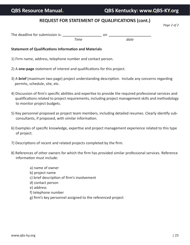# **REQUEST FOR STATEMENT OF QUALIFICATIONS (cont.)**

*Page 2 of 2*

| The deadline for submission is: |      |      |
|---------------------------------|------|------|
|                                 | Time | date |

#### **Statement of Qualifications Information and Materials**

- 1) Firm name, address, telephone number and contact person.
- 2) A **one-page** statement of interest and qualifications for this project.
- 3) A **brief** (maximum two-page) project understanding description. Include any concerns regarding permits, schedule, site, etc.
- 4) Discussion of firm's specific abilities and expertise to provide the required professional services and qualifications related to project requirements, including project management skills and methodology to monitor project budgets.
- 5) Key personnel proposed as project team members, including detailed resumes. Clearly identify sub consultants, if proposed, with similar information.
- 6) Examples of specific knowledge, expertise and project management experience related to this type of project.
- 7) Descriptions of recent and related projects completed by the firm.
- 8) References of other owners for which the firm has provided similar professional services. Reference information must include:
	- a) name of owner
	- b) project name
	- c) brief description of firm's involvement
	- d) contact person
	- e) address
	- f) telephone number
	- g) firm's key personnel assigned to the referenced project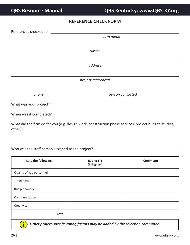# **REFERENCE CHECK FORM**

| References checked for <b>Exercise 2008</b> |                                                                                                       |  |
|---------------------------------------------|-------------------------------------------------------------------------------------------------------|--|
| firm name                                   |                                                                                                       |  |
|                                             |                                                                                                       |  |
|                                             | owner                                                                                                 |  |
|                                             |                                                                                                       |  |
|                                             | address                                                                                               |  |
|                                             |                                                                                                       |  |
|                                             | project referenced                                                                                    |  |
|                                             |                                                                                                       |  |
| phone                                       | person contacted                                                                                      |  |
|                                             |                                                                                                       |  |
|                                             |                                                                                                       |  |
| other)?                                     | What did the firm do for you (e.g. design work, construction phase services, project budget, studies, |  |

Who was the staff person assigned to the project? \_\_\_\_\_\_\_\_\_\_\_\_\_\_\_\_\_\_\_\_\_\_\_\_\_\_\_\_\_\_

| Rate the following:      | Rating 1-5<br>(5=highest) | <b>Comments</b> |
|--------------------------|---------------------------|-----------------|
| Quality of key personnel |                           |                 |
| Timeliness               |                           |                 |
| <b>Budget control</b>    |                           |                 |
| Communication            |                           |                 |
| Creativity               |                           |                 |
| <b>Total</b>             |                           |                 |
|                          |                           |                 |

*Other project-specific rating factors may be added by the selection committee.* **i**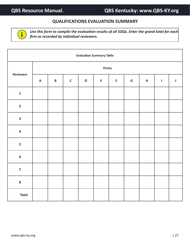# **QUALIFICATIONS EVALUATION SUMMARY**



*Use this form to compile the evaluation results of all SOQs. Enter the grand total for each* **i** *firm as recorded by individual reviewers.*

| <b>Evaluation Summary Table</b> |                           |                 |             |             |             |             |               |                           |             |             |
|---------------------------------|---------------------------|-----------------|-------------|-------------|-------------|-------------|---------------|---------------------------|-------------|-------------|
|                                 | <b>Firms</b>              |                 |             |             |             |             |               |                           |             |             |
| <b>Reviewers</b>                | $\boldsymbol{\mathsf{A}}$ | $\, {\bf B} \,$ | $\mathsf C$ | $\mathsf D$ | $\mathsf E$ | $\mathsf F$ | ${\mathsf G}$ | $\boldsymbol{\mathsf{H}}$ | $\mathbf I$ | $\mathsf J$ |
| $\mathbf 1$                     |                           |                 |             |             |             |             |               |                           |             |             |
| $\overline{\mathbf{2}}$         |                           |                 |             |             |             |             |               |                           |             |             |
| $\overline{\mathbf{3}}$         |                           |                 |             |             |             |             |               |                           |             |             |
| $\overline{\mathbf{4}}$         |                           |                 |             |             |             |             |               |                           |             |             |
| $\overline{\mathbf{5}}$         |                           |                 |             |             |             |             |               |                           |             |             |
| $\boldsymbol{6}$                |                           |                 |             |             |             |             |               |                           |             |             |
| $\overline{7}$                  |                           |                 |             |             |             |             |               |                           |             |             |
| ${\bf 8}$                       |                           |                 |             |             |             |             |               |                           |             |             |
| <b>Total</b>                    |                           |                 |             |             |             |             |               |                           |             |             |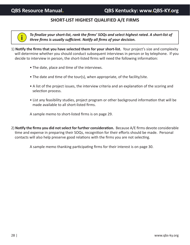# **SHORT-LIST HIGHEST QUALIFIED A/E FIRMS**



*To finalize your short-list, rank the firms' SOQs and select highest rated. A short-list of three firms is usually sufficient. Notify all firms of your decision.*

- 1) **Notify the firms that you have selected them for your short-list.** Your project's size and complexity will determine whether you should conduct subsequent interviews in person or by telephone. If you decide to interview in person, the short-listed firms will need the following information:
	- The date, place and time of the interviews.
	- The date and time of the tour(s), when appropriate, of the facility/site.
	- A list of the project issues, the interview criteria and an explanation of the scoring and selection process.
	- List any feasibility studies, project program or other background information that will be made available to all short-listed firms.

A sample memo to short-listed firms is on page 29.

2) **Notify the firms you did not select for further consideration.** Because A/E firms devote considerable time and expense in preparing their SOQs, recognition for their efforts should be made. Personal contacts will also help preserve good relations with the firms you are not selecting.

A sample memo thanking participating firms for their interest is on page 30.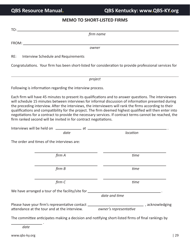# **MEMO TO SHORT-LISTED FIRMS**

| TO:                                                                                                         |                                                                                                                                                                                                                                                                                                                                                                                                                                                                                                                                                |
|-------------------------------------------------------------------------------------------------------------|------------------------------------------------------------------------------------------------------------------------------------------------------------------------------------------------------------------------------------------------------------------------------------------------------------------------------------------------------------------------------------------------------------------------------------------------------------------------------------------------------------------------------------------------|
|                                                                                                             | firm name                                                                                                                                                                                                                                                                                                                                                                                                                                                                                                                                      |
| FROM:                                                                                                       |                                                                                                                                                                                                                                                                                                                                                                                                                                                                                                                                                |
|                                                                                                             | owner                                                                                                                                                                                                                                                                                                                                                                                                                                                                                                                                          |
| RE:<br>Interview Schedule and Requirements                                                                  |                                                                                                                                                                                                                                                                                                                                                                                                                                                                                                                                                |
|                                                                                                             | Congratulations. Your firm has been short-listed for consideration to provide professional services for                                                                                                                                                                                                                                                                                                                                                                                                                                        |
|                                                                                                             | project                                                                                                                                                                                                                                                                                                                                                                                                                                                                                                                                        |
| Following is information regarding the interview process.                                                   |                                                                                                                                                                                                                                                                                                                                                                                                                                                                                                                                                |
| firm ranked second will be invited in for contract negotiations.                                            | Each firm will have 45 minutes to present its qualifications and to answer questions. The interviewers<br>will schedule 15 minutes between interviews for informal discussion of information presented during<br>the preceding interview. After the interviews, the interviewers will rank the firms according to their<br>qualifications and compatibility for the project. The firm deemed highest qualified will then enter into<br>negotiations for a contract to provide the necessary services. If contract terms cannot be reached, the |
| date                                                                                                        | location                                                                                                                                                                                                                                                                                                                                                                                                                                                                                                                                       |
| The order and times of the interviews are:                                                                  |                                                                                                                                                                                                                                                                                                                                                                                                                                                                                                                                                |
| firm A                                                                                                      | time                                                                                                                                                                                                                                                                                                                                                                                                                                                                                                                                           |
| firm B                                                                                                      | time                                                                                                                                                                                                                                                                                                                                                                                                                                                                                                                                           |
| firm C                                                                                                      | time                                                                                                                                                                                                                                                                                                                                                                                                                                                                                                                                           |
| We have arranged a tour of the facility/site for ______                                                     | date and time                                                                                                                                                                                                                                                                                                                                                                                                                                                                                                                                  |
| Please have your firm's representative contact ____________<br>attendance at the tour and at the interview. | acknowledging (acknowledging<br>owner's representative                                                                                                                                                                                                                                                                                                                                                                                                                                                                                         |

The committee anticipates making a decision and notifying short-listed firms of final rankings by

 . *date*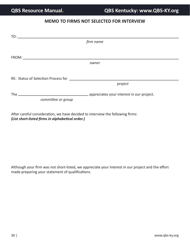# **MEMO TO FIRMS NOT SELECTED FOR INTERVIEW**

| $\begin{picture}(180,10) \put(0,0){\line(1,0){10}} \put(10,0){\line(1,0){10}} \put(10,0){\line(1,0){10}} \put(10,0){\line(1,0){10}} \put(10,0){\line(1,0){10}} \put(10,0){\line(1,0){10}} \put(10,0){\line(1,0){10}} \put(10,0){\line(1,0){10}} \put(10,0){\line(1,0){10}} \put(10,0){\line(1,0){10}} \put(10,0){\line(1,0){10}} \put(10,0){\line($ |           |
|-----------------------------------------------------------------------------------------------------------------------------------------------------------------------------------------------------------------------------------------------------------------------------------------------------------------------------------------------------|-----------|
|                                                                                                                                                                                                                                                                                                                                                     | firm name |
|                                                                                                                                                                                                                                                                                                                                                     |           |
|                                                                                                                                                                                                                                                                                                                                                     |           |
|                                                                                                                                                                                                                                                                                                                                                     | owner     |
|                                                                                                                                                                                                                                                                                                                                                     |           |
|                                                                                                                                                                                                                                                                                                                                                     |           |
|                                                                                                                                                                                                                                                                                                                                                     | project   |
|                                                                                                                                                                                                                                                                                                                                                     |           |
| committee or group                                                                                                                                                                                                                                                                                                                                  |           |
|                                                                                                                                                                                                                                                                                                                                                     |           |

After careful consideration, we have decided to interview the following firms: *(List short-listed firms in alphabetical order.)*

Although your firm was not short-listed, we appreciate your interest in our project and the effort made preparing your statement of qualifications.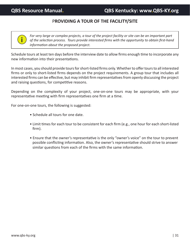# P**ROVIDING A TOUR OF THE FACILITY/SITE**

**i**

*For very large or complex projects, a tour of the project facility or site can be an important part of the selection process. Tours provide interested firms with the opportunity to obtain first-hand information about the proposed project.*

Schedule tours at least ten days before the interview date to allow firms enough time to incorporate any new information into their presentations.

In most cases, you should provide tours for short-listed firms only. Whether to offer tours to all interested firms or only to short-listed firms depends on the project requirements. A group tour that includes all interested firms can be effective, but may inhibit firm representatives from openly discussing the project and raising questions, for competitive reasons.

Depending on the complexity of your project, one-on-one tours may be appropriate, with your representative meeting with firm representatives one firm at a time.

For one-on-one tours, the following is suggested:

- Schedule all tours for one date.
- Limit times for each tour to be consistent for each firm (e.g., one hour for each short-listed firm).
- Ensure that the owner's representative is the only "owner's voice" on the tour to prevent possible conflicting information. Also, the owner's representative should strive to answer similar questions from each of the firms with the same information.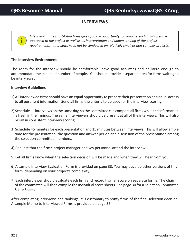# **INTERVIEWS**

*Interviewing the short-listed firms gives you the opportunity to compare each firm's creative approach to the project as well as its interpretation and understanding of the project requirements. Interviews need not be conducted on relatively small or non-complex projects.*

#### **The Interview Environment**

**i**

The room for the interview should be comfortable, have good acoustics and be large enough to accommodate the expected number of people. You should provide a separate area for firms waiting to be interviewed.

#### **Interview Guidelines**

- 1) All interviewed firms should have an equal opportunity to prepare their presentation and equal access to all pertinent information. Send all firms the criteria to be used for the interview scoring.
- 2) Schedule all interviews on the same day, so the committee can compare all firms while the information is fresh in their minds. The same interviewers should be present at all of the interviews. This will also result in consistent interview scoring.
- 3) Schedule 45 minutes for each presentation and 15 minutes between interviews. This will allow ample time for the presentation, the question and answer period and discussion of the presentation among the selection committee members.
- 4) Request that the firm's project manager and key personnel attend the interview.
- 5) Let all firms know when the selection decision will be made and when they will hear from you.
- 6) A sample Interview Evaluation Form is provided on page 33. You may develop other versions of this form, depending on your project's complexity.
- 7) Each interviewer should evaluate each firm and record his/her score on separate forms. The chair of the committee will then compile the individual score sheets. See page 30 for a Selection Committee Score Sheet.

After completing interviews and rankings, it is customary to notify firms of the final selection decision. A sample Memo to Interviewed Firms is provided on page 35.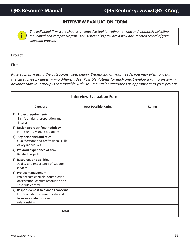## **INTERVIEW EVALUATION FORM**

*The individual firm score sheet is an effective tool for rating, ranking and ultimately selecting a qualified and compatible firm. This system also provides a well-documented record of your selection process.*

Project:

**i**

Firm:

*Rate each firm using the categories listed below. Depending on your needs, you may wish to weight the categories by determining different Best Possible Ratings for each one. Develop a rating system in advance that your group is comfortable with. You may tailor categories as appropriate to your project.*

| <b>Interview Evaluation Form</b>                                                                                         |                             |        |  |  |
|--------------------------------------------------------------------------------------------------------------------------|-----------------------------|--------|--|--|
| Category                                                                                                                 | <b>Best Possible Rating</b> | Rating |  |  |
| 1) Project requirements<br>Firm's analysis, preparation and<br>interest                                                  |                             |        |  |  |
| 2) Design approach/methodology<br>Firm's or individual's creativity                                                      |                             |        |  |  |
| 3) Key personnel and roles<br>Qualifications and professional skills<br>of key individuals                               |                             |        |  |  |
| 4) Previous experience of firm<br>Related projects                                                                       |                             |        |  |  |
| 5) Resources and abilities<br>Quality and importance of support<br>services                                              |                             |        |  |  |
| 6) Project management<br>Project cost controls, construction<br>observation, conflict resolution and<br>schedule control |                             |        |  |  |
| 7) Responsiveness to owner's concerns<br>Firm's ability to communicate and<br>form successful working<br>relationships   |                             |        |  |  |
| <b>Total</b>                                                                                                             |                             |        |  |  |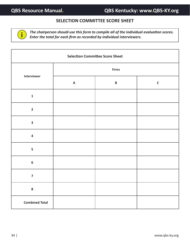# **SELECTION COMMITTEE SCORE SHEET**



*The chairperson should use this form to compile all of the individual evaluation scores. Enter the total for each firm as recorded by individual interviewers.*

| <b>Selection Committee Score Sheet</b> |                           |          |             |
|----------------------------------------|---------------------------|----------|-------------|
| Interviewer                            | <b>Firms</b>              |          |             |
|                                        | $\boldsymbol{\mathsf{A}}$ | $\pmb B$ | $\mathsf C$ |
| $\mathbf{1}$                           |                           |          |             |
| $\overline{2}$                         |                           |          |             |
| $\overline{\mathbf{3}}$                |                           |          |             |
| $\overline{\mathbf{4}}$                |                           |          |             |
| $\overline{\mathbf{5}}$                |                           |          |             |
| $\boldsymbol{6}$                       |                           |          |             |
| $\overline{7}$                         |                           |          |             |
| $\bf{8}$                               |                           |          |             |
| <b>Combined Total</b>                  |                           |          |             |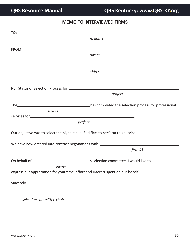# **MEMO TO INTERVIEWED FIRMS**

| TO:                                                                              |                                                                                  |  |  |
|----------------------------------------------------------------------------------|----------------------------------------------------------------------------------|--|--|
|                                                                                  | firm name                                                                        |  |  |
|                                                                                  |                                                                                  |  |  |
|                                                                                  | owner                                                                            |  |  |
|                                                                                  |                                                                                  |  |  |
|                                                                                  |                                                                                  |  |  |
|                                                                                  | address                                                                          |  |  |
|                                                                                  |                                                                                  |  |  |
|                                                                                  |                                                                                  |  |  |
|                                                                                  |                                                                                  |  |  |
|                                                                                  | project                                                                          |  |  |
|                                                                                  | The has completed the selection process for professional                         |  |  |
| owner                                                                            |                                                                                  |  |  |
|                                                                                  |                                                                                  |  |  |
|                                                                                  | project                                                                          |  |  |
|                                                                                  |                                                                                  |  |  |
|                                                                                  | Our objective was to select the highest qualified firm to perform this service.  |  |  |
|                                                                                  |                                                                                  |  |  |
| We have now entered into contract negotiations with ____________________________ |                                                                                  |  |  |
|                                                                                  | firm#1                                                                           |  |  |
|                                                                                  |                                                                                  |  |  |
|                                                                                  |                                                                                  |  |  |
| owner                                                                            | express our appreciation for your time, effort and interest spent on our behalf. |  |  |
|                                                                                  |                                                                                  |  |  |
| Sincerely,                                                                       |                                                                                  |  |  |
|                                                                                  |                                                                                  |  |  |
|                                                                                  |                                                                                  |  |  |

*selection committee chair*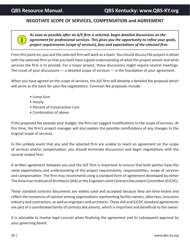# **NEGOTIATE SCOPE OF SERVICES, COMPENSATION and AGREEMENT**

**i**

*As soon as possible after an A/E firm is selected, begin detailed discussions on the agreement for professional services. This gives you the opportunity to refine your goals, project requirements (scope of services), fees and expectations of the selected firm.*

From this point on, you and the selected firm will work as a team. You should discuss the project in detail with the selected firm so that you both have a good understanding of what the project entails and what services the firm is to provide. For a major project, these discussions might require several meetings. The result of your discussions  $-$  a detailed scope of services  $-$  is the foundation of your agreement.

When you have agreed on the scope of services, the A/E firm will develop a detailed fee proposal which will serve as the basis for your fee negotiations. Common fee proposals include:

- Lump Sum
- Hourly
- Percent of Construction Cost
- Combination of above

If the proposed fee exceeds your budget, the firm can suggest modifications to the scope of services. At this time, the firm's project manager will also explain the possible ramifications of any changes to the original scope of services.

In the unlikely event that you and the selected firm are unable to reach an agreement on the scope of services and/or compensation, you should terminate discussions and begin negotiations with the second-ranked firm.

A written agreement between you and the A/E firm is important to ensure that both parties have the same expectations and understanding of the project requirements, responsibilities, scope of services and compensation. The firm may recommend using a standard form of agreement developed by either The American Institute of Architects (AIA) or the Engineers Joint Contract Document Committee (EJCDC).

These standard contract documents are widely used and accepted because they are time-tested and reflect the consensus of opinion among organizations representing facility owners, attorneys, insurance industry and contractors, as well as engineers and architects. These AIA and EJCDC standard agreements are part of a coordinated family of contract documents, which is important and beneficial to the owner.

It is advisable to involve legal counsel when finalizing the agreement and its subsequent approval by your governing board.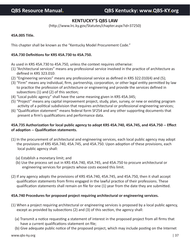# **KENTUCKY'S QBS LAW**

(http://www.lrc.ky.gov/Statutes/chapter.aspx?id=37250)

#### **45A.005 Title.**

This chapter shall be known as the "Kentucky Model Procurement Code."

#### **45A.730 Definitions for KRS 45A.730 to 45A.750.**

As used in KRS 45A.730 to 45A.750, unless the context requires otherwise:

- (1) "Architectural services" means any professional service involved in the practice of architecture as defined in KRS 323.010:
- (2) "Engineering services" means any professional service as defined in KRS 322.010(4) and (5);
- (3) "Firm" means any individual, firm, partnership, corporation, or other legal entity permitted by law to practice the profession of architecture or engineering and provide the services defined in subsections (1) and (2) of this section;
- (4) "Local public agency" shall have the same meaning given in KRS 45A.345;
- (5) "Project" means any capital improvement project, study, plan, survey, or new or existing program activity of a political subdivision that requires architectural or professional engineering services;
- (6) "Qualification statement" means federal form SF254 and any other supporting documents that present a firm's qualifications and performance data.

## **45A.735 Authorization for local public agency to adopt KRS 45A.740, 45A.745, and 45A.750 -- Effect of adoption -- Qualification statements.**

- (1) In the procurement of architectural and engineering services, each local public agency may adopt the provisions of KRS 45A.740, 45A.745, and 45A.750. Upon adoption of these provisions, each local public agency shall:
	- (a) Establish a monetary limit; and
	- (b) Use the process set out in KRS 45A.740, 45A.745, and 45A.750 to procure architectural or engineering services for projects whose costs exceed this limit.
- (2) If any agency adopts the provisions of KRS 45A.740, 45A.745, and 45A.750, then it shall accept qualification statements from firms engaged in the lawful practice of their professions. These qualification statements shall remain on file for one (1) year from the date they are submitted.

## **45A.740 Procedures for proposed project requiring architectural or engineering services.**

- (1) When a project requiring architectural or engineering services is proposed by a local public agency, except as provided by subsections (2) and (3) of this section, the agency shall:
	- (a) Transmit a notice requesting a statement of interest in the proposed project from all firms that have a current qualifications statement on file;
	- (b) Give adequate public notice of the proposed project, which may include posting on the Internet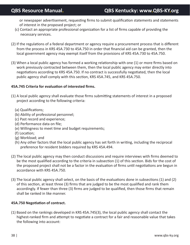or newspaper advertisement, requesting firms to submit qualification statements and statements of interest in the proposed project; or

- (c) Contact an appropriate professional organization for a list of firms capable of providing the necessary services.
- (2) If the regulations of a federal department or agency require a procurement process that is different from the process in KRS 45A.730 to 45A.750 in order that financial aid can be granted, then the local government agency may exempt itself from the provisions of KRS 45A.730 to 45A.750.
- (3) When a local public agency has formed a working relationship with one (1) or more firms based on work previously contracted between them, then the local public agency may enter directly into negotiations according to KRS 45A.750. If no contract is successfully negotiated, then the local public agency shall comply with this section, KRS 45A.745, and KRS 45A.750.

### **45A.745 Criteria for evaluation of interested firms.**

- (1) A local public agency shall evaluate those firms submitting statements of interest in a proposed project according to the following criteria:
	- (a) Qualifications;
	- (b) Ability of professional personnel;
	- (c) Past record and experience;
	- (d) Performance data on file;
	- (e) Willingness to meet time and budget requirements;
	- (f) Location;
	- (g) Workload; and
	- (h) Any other factors that the local public agency has set forth in writing, including the reciprocal preference for resident bidders required by KRS 45A.494.
- (2) The local public agency may then conduct discussions and require interviews with firms deemed to be the most qualified according to the criteria in subsection (1) of this section. Bids for the cost of the proposed project shall not be a factor in the evaluation of firms until negotiations are begun in accordance with KRS 45A.750.
- (3) The local public agency shall select, on the basis of the evaluations done in subsections (1) and (2) of this section, at least three (3) firms that are judged to be the most qualified and rank them accordingly. If fewer than three (3) firms are judged to be qualified, then those firms that remain shall be ranked in like manner.

#### **45A.750 Negotiation of contract.**

(1) Based on the rankings developed in KRS 45A.745(3), the local public agency shall contact the highest-ranked firm and attempt to negotiate a contract for a fair and reasonable value that takes the following into account: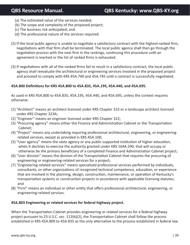- (a) The estimated value of the services needed;
- (b) The scope and complexity of the proposed project;
- (c) The business risk anticipated; and
- (d) The professional nature of the services required.
- (2) If the local public agency is unable to negotiate a satisfactory contract with the highest-ranked firm, negotiations with that firm shall be terminated. The local public agency shall then go through the negotiation process with the next firm in the rankings, continuing this procedure until an agreement is reached or the list of ranked firms is exhausted.
- (3) If negotiations with all of the ranked firms fail to result in a satisfactory contract, the local public agency shall reevaluate the architectural or engineering services involved in the proposed project and proceed to comply with KRS 45A.740 and 45A.745 until a contract is successfully negotiated.

## **45A.800 Definitions for KRS 45A.800 to 45A.835, 45A.195, 45A.440, and 45A.695.**

As used in KRS 45A.800 to 45A.835, 45A.195, 45A.440, and 45A.695, unless the context requires otherwise:

- (1) "Architect" means an architect licensed under KRS Chapter 323 or a landscape architect licensed under KRS Chapter 323A;
- (2) "Engineer" means an engineer licensed under KRS Chapter 322;
- (3) "Procuring agency" means either the Finance and Administration Cabinet or the Transportation Cabinet;
- (4) "Project" means any undertaking requiring professional architectural, engineering, or engineering related services, except as provided in KRS 45A.100;
- (5) "User agency" means the state agency or any public supported institution of higher education, when it declines to exercise the authority granted under KRS 164A.590, that will occupy or otherwise be the primary beneficiary of a completed Finance and Administration Cabinet project;
- (6) "User division" means the division of the Transportation Cabinet that requires the procuring of engineering or engineering-related services for a project;
- (7) "Engineering-related services" means specialized professional services performed by individuals, consultants, or other organizations of recognized technical competence, education, or experience that are involved in the planning, design, construction, maintenance, or operation of Kentucky's transportation systems or construction projects in accordance with applicable licensing statutes; and
- (8) "Firm" means an individual or other entity that offers professional architectural, engineering, or engineering-related services.

#### **45A.803 Engineering or related services for federal highway project.**

When the Transportation Cabinet provides engineering or related services for a federal highway project pursuant to 23 U.S.C. sec. 112(b)(2), the Transportation Cabinet shall follow the process established in KRS 45A.800 to 45A.835 as the only alternative to the process established in federal law.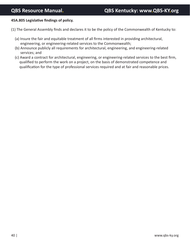#### **45A.805 Legislative findings of policy.**

- (1) The General Assembly finds and declares it to be the policy of the Commonwealth of Kentucky to:
	- (a) Insure the fair and equitable treatment of all firms interested in providing architectural, engineering, or engineering-related services to the Commonwealth;
	- (b) Announce publicly all requirements for architectural, engineering, and engineering-related services; and
	- (c) Award a contract for architectural, engineering, or engineering-related services to the best firm, qualified to perform the work on a project, on the basis of demonstrated competence and qualification for the type of professional services required and at fair and reasonable prices.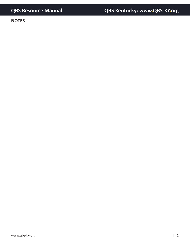**NOTES**